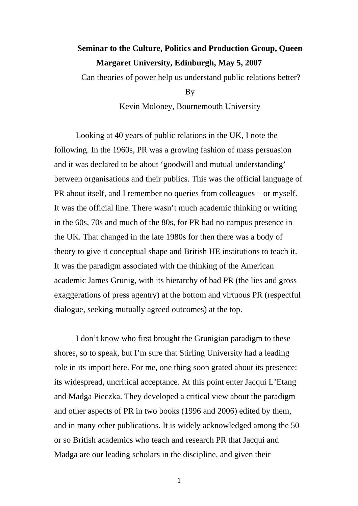## **Seminar to the Culture, Politics and Production Group, Queen Margaret University, Edinburgh, May 5, 2007**

Can theories of power help us understand public relations better?

By

Kevin Moloney, Bournemouth University

Looking at 40 years of public relations in the UK, I note the following. In the 1960s, PR was a growing fashion of mass persuasion and it was declared to be about 'goodwill and mutual understanding' between organisations and their publics. This was the official language of PR about itself, and I remember no queries from colleagues – or myself. It was the official line. There wasn't much academic thinking or writing in the 60s, 70s and much of the 80s, for PR had no campus presence in the UK. That changed in the late 1980s for then there was a body of theory to give it conceptual shape and British HE institutions to teach it. It was the paradigm associated with the thinking of the American academic James Grunig, with its hierarchy of bad PR (the lies and gross exaggerations of press agentry) at the bottom and virtuous PR (respectful dialogue, seeking mutually agreed outcomes) at the top.

I don't know who first brought the Grunigian paradigm to these shores, so to speak, but I'm sure that Stirling University had a leading role in its import here. For me, one thing soon grated about its presence: its widespread, uncritical acceptance. At this point enter Jacqui L'Etang and Madga Pieczka. They developed a critical view about the paradigm and other aspects of PR in two books (1996 and 2006) edited by them, and in many other publications. It is widely acknowledged among the 50 or so British academics who teach and research PR that Jacqui and Madga are our leading scholars in the discipline, and given their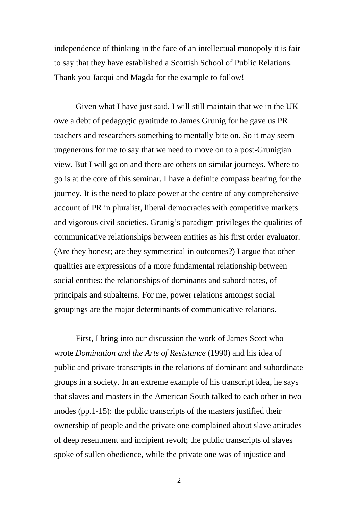independence of thinking in the face of an intellectual monopoly it is fair to say that they have established a Scottish School of Public Relations. Thank you Jacqui and Magda for the example to follow!

Given what I have just said, I will still maintain that we in the UK owe a debt of pedagogic gratitude to James Grunig for he gave us PR teachers and researchers something to mentally bite on. So it may seem ungenerous for me to say that we need to move on to a post-Grunigian view. But I will go on and there are others on similar journeys. Where to go is at the core of this seminar. I have a definite compass bearing for the journey. It is the need to place power at the centre of any comprehensive account of PR in pluralist, liberal democracies with competitive markets and vigorous civil societies. Grunig's paradigm privileges the qualities of communicative relationships between entities as his first order evaluator. (Are they honest; are they symmetrical in outcomes?) I argue that other qualities are expressions of a more fundamental relationship between social entities: the relationships of dominants and subordinates, of principals and subalterns. For me, power relations amongst social groupings are the major determinants of communicative relations.

First, I bring into our discussion the work of James Scott who wrote *Domination and the Arts of Resistance* (1990) and his idea of public and private transcripts in the relations of dominant and subordinate groups in a society. In an extreme example of his transcript idea, he says that slaves and masters in the American South talked to each other in two modes (pp.1-15): the public transcripts of the masters justified their ownership of people and the private one complained about slave attitudes of deep resentment and incipient revolt; the public transcripts of slaves spoke of sullen obedience, while the private one was of injustice and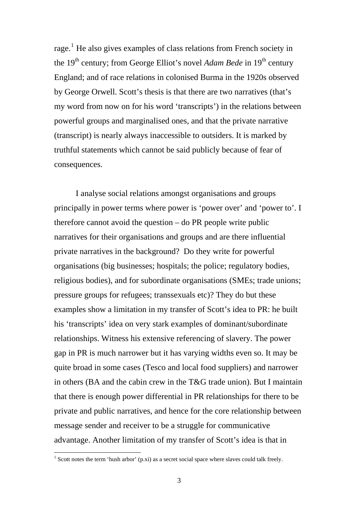rage.<sup>[1](#page-2-0)</sup> He also gives examples of class relations from French society in the 19<sup>th</sup> century; from George Elliot's novel *Adam Bede* in 19<sup>th</sup> century England; and of race relations in colonised Burma in the 1920s observed by George Orwell. Scott's thesis is that there are two narratives (that's my word from now on for his word 'transcripts') in the relations between powerful groups and marginalised ones, and that the private narrative (transcript) is nearly always inaccessible to outsiders. It is marked by truthful statements which cannot be said publicly because of fear of consequences.

I analyse social relations amongst organisations and groups principally in power terms where power is 'power over' and 'power to'. I therefore cannot avoid the question – do PR people write public narratives for their organisations and groups and are there influential private narratives in the background? Do they write for powerful organisations (big businesses; hospitals; the police; regulatory bodies, religious bodies), and for subordinate organisations (SMEs; trade unions; pressure groups for refugees; transsexuals etc)? They do but these examples show a limitation in my transfer of Scott's idea to PR: he built his 'transcripts' idea on very stark examples of dominant/subordinate relationships. Witness his extensive referencing of slavery. The power gap in PR is much narrower but it has varying widths even so. It may be quite broad in some cases (Tesco and local food suppliers) and narrower in others (BA and the cabin crew in the T&G trade union). But I maintain that there is enough power differential in PR relationships for there to be private and public narratives, and hence for the core relationship between message sender and receiver to be a struggle for communicative advantage. Another limitation of my transfer of Scott's idea is that in

<span id="page-2-0"></span><sup>&</sup>lt;sup>1</sup> Scott notes the term 'hush arbor' (p.xi) as a secret social space where slaves could talk freely.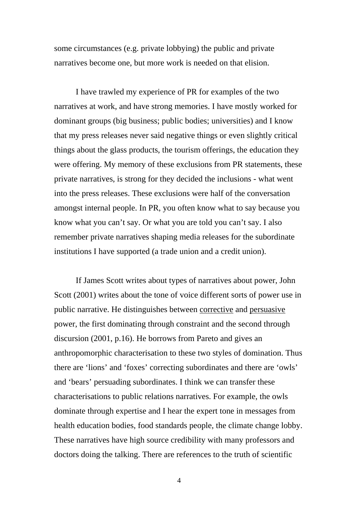some circumstances (e.g. private lobbying) the public and private narratives become one, but more work is needed on that elision.

I have trawled my experience of PR for examples of the two narratives at work, and have strong memories. I have mostly worked for dominant groups (big business; public bodies; universities) and I know that my press releases never said negative things or even slightly critical things about the glass products, the tourism offerings, the education they were offering. My memory of these exclusions from PR statements, these private narratives, is strong for they decided the inclusions - what went into the press releases. These exclusions were half of the conversation amongst internal people. In PR, you often know what to say because you know what you can't say. Or what you are told you can't say. I also remember private narratives shaping media releases for the subordinate institutions I have supported (a trade union and a credit union).

If James Scott writes about types of narratives about power, John Scott (2001) writes about the tone of voice different sorts of power use in public narrative. He distinguishes between corrective and persuasive power, the first dominating through constraint and the second through discursion (2001, p.16). He borrows from Pareto and gives an anthropomorphic characterisation to these two styles of domination. Thus there are 'lions' and 'foxes' correcting subordinates and there are 'owls' and 'bears' persuading subordinates. I think we can transfer these characterisations to public relations narratives. For example, the owls dominate through expertise and I hear the expert tone in messages from health education bodies, food standards people, the climate change lobby. These narratives have high source credibility with many professors and doctors doing the talking. There are references to the truth of scientific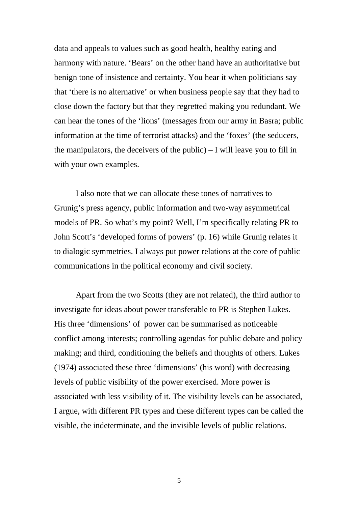data and appeals to values such as good health, healthy eating and harmony with nature. 'Bears' on the other hand have an authoritative but benign tone of insistence and certainty. You hear it when politicians say that 'there is no alternative' or when business people say that they had to close down the factory but that they regretted making you redundant. We can hear the tones of the 'lions' (messages from our army in Basra; public information at the time of terrorist attacks) and the 'foxes' (the seducers, the manipulators, the deceivers of the public) – I will leave you to fill in with your own examples.

I also note that we can allocate these tones of narratives to Grunig's press agency, public information and two-way asymmetrical models of PR. So what's my point? Well, I'm specifically relating PR to John Scott's 'developed forms of powers' (p. 16) while Grunig relates it to dialogic symmetries. I always put power relations at the core of public communications in the political economy and civil society.

Apart from the two Scotts (they are not related), the third author to investigate for ideas about power transferable to PR is Stephen Lukes. His three 'dimensions' of power can be summarised as noticeable conflict among interests; controlling agendas for public debate and policy making; and third, conditioning the beliefs and thoughts of others. Lukes (1974) associated these three 'dimensions' (his word) with decreasing levels of public visibility of the power exercised. More power is associated with less visibility of it. The visibility levels can be associated, I argue, with different PR types and these different types can be called the visible, the indeterminate, and the invisible levels of public relations.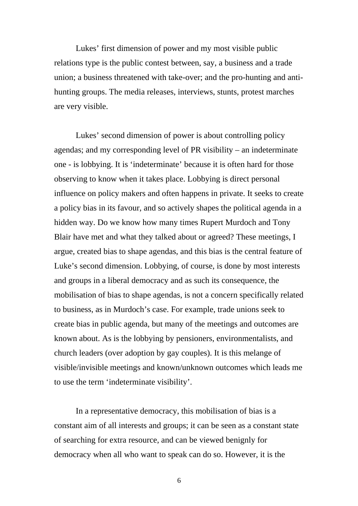Lukes' first dimension of power and my most visible public relations type is the public contest between, say, a business and a trade union; a business threatened with take-over; and the pro-hunting and antihunting groups. The media releases, interviews, stunts, protest marches are very visible.

Lukes' second dimension of power is about controlling policy agendas; and my corresponding level of PR visibility – an indeterminate one - is lobbying. It is 'indeterminate' because it is often hard for those observing to know when it takes place. Lobbying is direct personal influence on policy makers and often happens in private. It seeks to create a policy bias in its favour, and so actively shapes the political agenda in a hidden way. Do we know how many times Rupert Murdoch and Tony Blair have met and what they talked about or agreed? These meetings, I argue, created bias to shape agendas, and this bias is the central feature of Luke's second dimension. Lobbying, of course, is done by most interests and groups in a liberal democracy and as such its consequence, the mobilisation of bias to shape agendas, is not a concern specifically related to business, as in Murdoch's case. For example, trade unions seek to create bias in public agenda, but many of the meetings and outcomes are known about. As is the lobbying by pensioners, environmentalists, and church leaders (over adoption by gay couples). It is this melange of visible/invisible meetings and known/unknown outcomes which leads me to use the term 'indeterminate visibility'.

In a representative democracy, this mobilisation of bias is a constant aim of all interests and groups; it can be seen as a constant state of searching for extra resource, and can be viewed benignly for democracy when all who want to speak can do so. However, it is the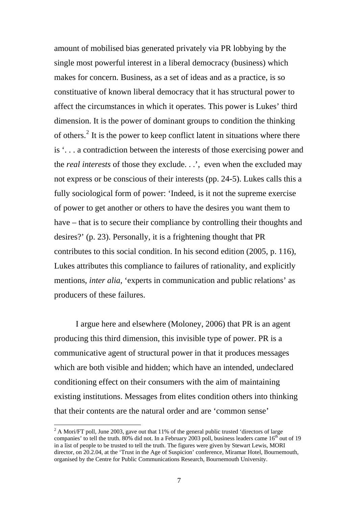amount of mobilised bias generated privately via PR lobbying by the single most powerful interest in a liberal democracy (business) which makes for concern. Business, as a set of ideas and as a practice, is so constituative of known liberal democracy that it has structural power to affect the circumstances in which it operates. This power is Lukes' third dimension. It is the power of dominant groups to condition the thinking of others.<sup>[2](#page-6-0)</sup> It is the power to keep conflict latent in situations where there is '. . . a contradiction between the interests of those exercising power and the *real interests* of those they exclude. . .', even when the excluded may not express or be conscious of their interests (pp. 24-5). Lukes calls this a fully sociological form of power: 'Indeed, is it not the supreme exercise of power to get another or others to have the desires you want them to have – that is to secure their compliance by controlling their thoughts and desires?' (p. 23). Personally, it is a frightening thought that PR contributes to this social condition. In his second edition (2005, p. 116), Lukes attributes this compliance to failures of rationality, and explicitly mentions, *inter alia*, 'experts in communication and public relations' as producers of these failures.

I argue here and elsewhere (Moloney, 2006) that PR is an agent producing this third dimension, this invisible type of power. PR is a communicative agent of structural power in that it produces messages which are both visible and hidden; which have an intended, undeclared conditioning effect on their consumers with the aim of maintaining existing institutions. Messages from elites condition others into thinking that their contents are the natural order and are 'common sense'

 $\overline{a}$ 

<span id="page-6-0"></span><sup>&</sup>lt;sup>2</sup> A Mori/FT poll, June 2003, gave out that 11% of the general public trusted 'directors of large companies' to tell the truth. 80% did not. In a February 2003 poll, business leaders came  $16^{th}$  out of 19 in a list of people to be trusted to tell the truth. The figures were given by Stewart Lewis, MORI director, on 20.2.04, at the 'Trust in the Age of Suspicion' conference, Miramar Hotel, Bournemouth, organised by the Centre for Public Communications Research, Bournemouth University.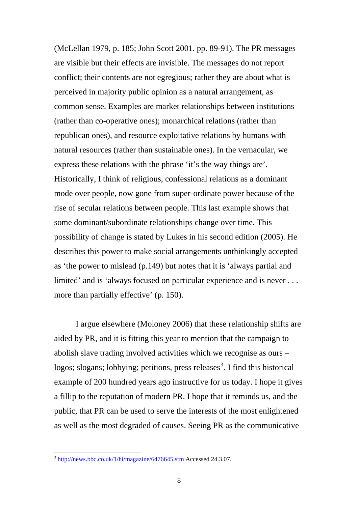(McLellan 1979, p. 185; John Scott 2001. pp. 89-91). The PR messages are visible but their effects are invisible. The messages do not report conflict; their contents are not egregious; rather they are about what is perceived in majority public opinion as a natural arrangement, as common sense. Examples are market relationships between institutions (rather than co-operative ones); monarchical relations (rather than republican ones), and resource exploitative relations by humans with natural resources (rather than sustainable ones). In the vernacular, we express these relations with the phrase 'it's the way things are'. Historically, I think of religious, confessional relations as a dominant mode over people, now gone from super-ordinate power because of the rise of secular relations between people. This last example shows that some dominant/subordinate relationships change over time. This possibility of change is stated by Lukes in his second edition (2005). He describes this power to make social arrangements unthinkingly accepted as 'the power to mislead (p.149) but notes that it is 'always partial and limited' and is 'always focused on particular experience and is never . . . more than partially effective' (p. 150).

I argue elsewhere (Moloney 2006) that these relationship shifts are aided by PR, and it is fitting this year to mention that the campaign to abolish slave trading involved activities which we recognise as ours – logos; slogans; lobbying; petitions, press releases<sup>[3](#page-7-0)</sup>. I find this historical example of 200 hundred years ago instructive for us today. I hope it gives a fillip to the reputation of modern PR. I hope that it reminds us, and the public, that PR can be used to serve the interests of the most enlightened as well as the most degraded of causes. Seeing PR as the communicative

 $\overline{a}$ 

<span id="page-7-0"></span> $3 \frac{\text{http://news.bbc.co.uk/1/hi/magazine/6476645.stm}}{24.3.07}$